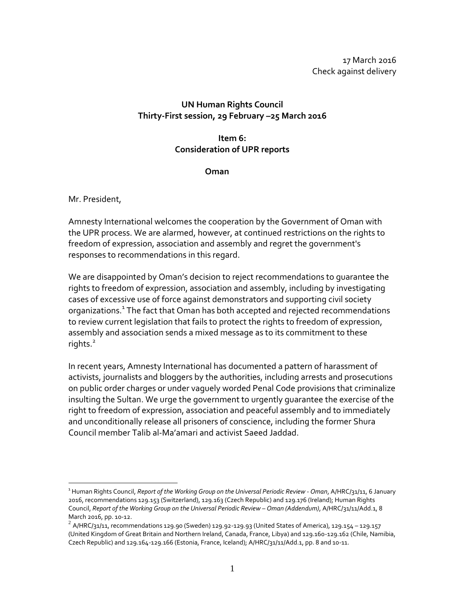17 March 2016 Check against delivery

## **UN Human Rights Council Thirty-First session, 29 February –25 March 2016**

# **Item 6: Consideration of UPR reports**

### **Oman**

### Mr. President,

 $\overline{a}$ 

Amnesty International welcomes the cooperation by the Government of Oman with the UPR process. We are alarmed, however, at continued restrictions on the rights to freedom of expression, association and assembly and regret the government's responses to recommendations in this regard.

We are disappointed by Oman's decision to reject recommendations to guarantee the rights to freedom of expression, association and assembly, including by investigating cases of excessive use of force against demonstrators and supporting civil society organizations.<sup>1</sup> The fact that Oman has both accepted and rejected recommendations to review current legislation that fails to protect the rights to freedom of expression, assembly and association sends a mixed message as to its commitment to these rights. $<sup>2</sup>$ </sup>

In recent years, Amnesty International has documented a pattern of harassment of activists, journalists and bloggers by the authorities, including arrests and prosecutions on public order charges or under vaguely worded Penal Code provisions that criminalize insulting the Sultan. We urge the government to urgently guarantee the exercise of the right to freedom of expression, association and peaceful assembly and to immediately and unconditionally release all prisoners of conscience, including the former Shura Council member Talib al-Ma'amari and activist Saeed Jaddad.

<sup>1</sup> Human Rights Council, *Report of the Working Group on the Universal Periodic Review - Oman*, A/HRC/31/11, 6 January 2016, recommendations 129.153 (Switzerland), 129.163 (Czech Republic) and 129.176 (Ireland); Human Rights Council, *Report of the Working Group on the Universal Periodic Review – Oman (Addendum)*, A/HRC/31/11/Add.1, 8 March 2016, pp. 10-12.

 $^2$  A/HRC/31/11, recommendations 129.90 (Sweden) 129.92-129.93 (United States of America), 129.154 – 129.157 (United Kingdom of Great Britain and Northern Ireland, Canada, France, Libya) and 129.160-129.162 (Chile, Namibia, Czech Republic) and 129.164-129.166 (Estonia, France, Iceland); A/HRC/31/11/Add.1, pp. 8 and 10-11.